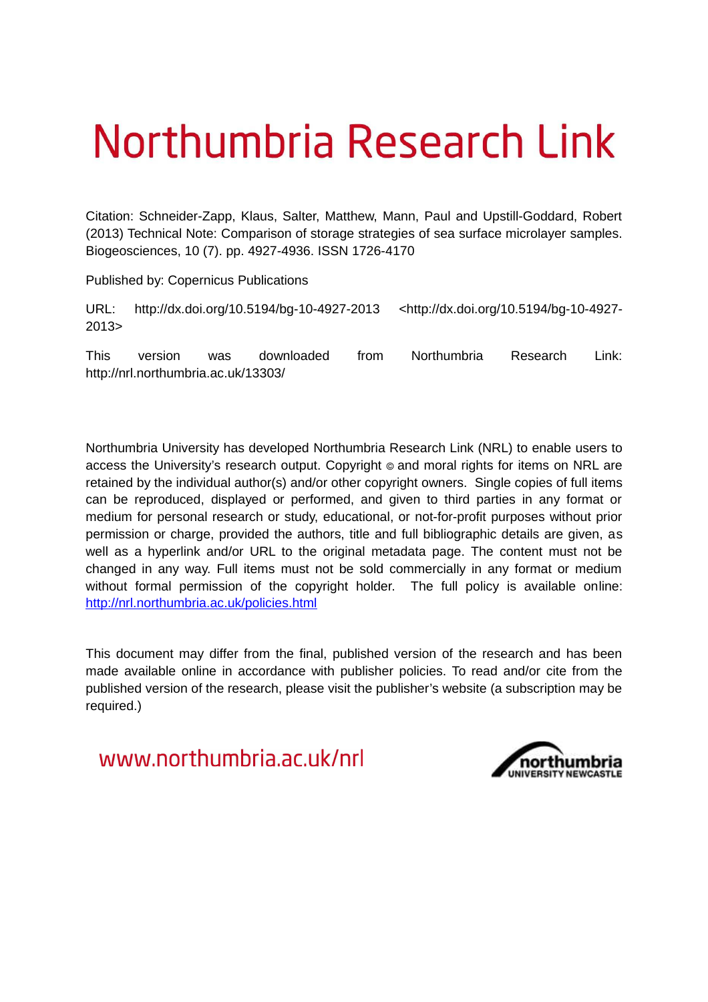# <span id="page-0-0"></span>Northumbria Research Link

Citation: Schneider-Zapp, Klaus, Salter, Matthew, Mann, Paul and Upstill-Goddard, Robert (2013) Technical Note: Comparison of storage strategies of sea surface microlayer samples. Biogeosciences, 10 (7). pp. 4927-4936. ISSN 1726-4170

Published by: Copernicus Publications

URL: http://dx.doi.org/10.5194/bg-10-4927-2013 <http://dx.doi.org/10.5194/bg-10-4927- 2013>

This version was downloaded from Northumbria Research Link: http://nrl.northumbria.ac.uk/13303/

Northumbria University has developed Northumbria Research Link (NRL) to enable users to access the University's research output. Copyright  $\circ$  and moral rights for items on NRL are retained by the individual author(s) and/or other copyright owners. Single copies of full items can be reproduced, displayed or performed, and given to third parties in any format or medium for personal research or study, educational, or not-for-profit purposes without prior permission or charge, provided the authors, title and full bibliographic details are given, as well as a hyperlink and/or URL to the original metadata page. The content must not be changed in any way. Full items must not be sold commercially in any format or medium without formal permission of the copyright holder. The full policy is available online: <http://nrl.northumbria.ac.uk/policies.html>

This document may differ from the final, published version of the research and has been made available online in accordance with publisher policies. To read and/or cite from the published version of the research, please visit the publisher's website (a subscription may be required.)

www.northumbria.ac.uk/nrl

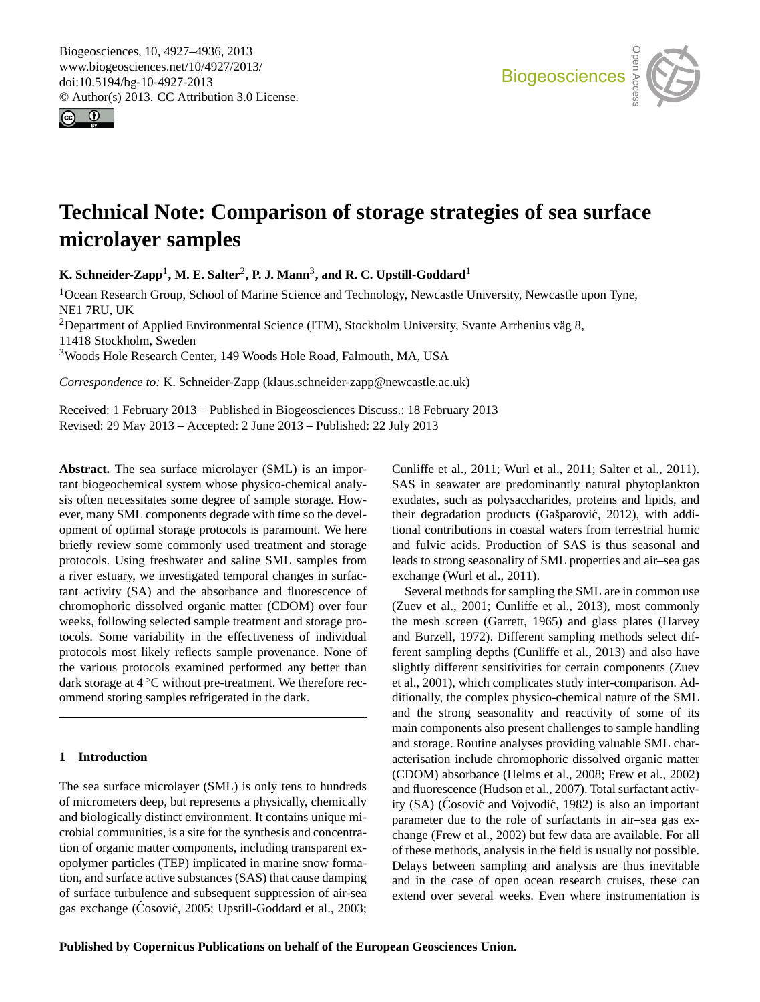Biogeosciences, 10, 4927[–4936,](#page-0-0) 2013 www.biogeosciences.net/10/4927/2013/ doi:10.5194/bg-10-4927-2013 © Author(s) 2013. CC Attribution 3.0 License.





## **Technical Note: Comparison of storage strategies of sea surface microlayer samples**

 $\mathbf{K}.$  Schneider-Zapp<sup>1</sup>, M. E. Salter<sup>2</sup>, P. J. Mann<sup>3</sup>, and R. C. Upstill-Goddard<sup>1</sup>

 $\frac{1}{2}$ geoscientische Geoscientische Geoscientische Geoscientische Geoscientische Geoscientische Geoscientische Geosc <sup>1</sup> Ocean Research Group, School of Marine Science and Technology, Newcastle University, Newcastle upon Tyne, NE1 7RU, UK

<sup>2</sup>Department of Applied Environmental Science (ITM), Stockholm University, Svante Arrhenius väg 8, 11418 Stockholm, Sweden

<span id="page-1-0"></span><sup>3</sup>Woods Hole Research Center, 149 Woods Hole Road, Falmouth, MA, USA

*Correspondence to:* K. Schneider-Zapp (klaus.schneider-zapp@newcastle.ac.uk)

Received: 1 February 2013 – Published in Biogeosciences Discuss.: 18 February 2013 Revised: 29 May 2013 – Accepted: 2 June 2013 – Published: 22 July 2013

**Abstract.** The sea surface microlayer (SML) is an important biogeochemical system whose physico-chemical analysis often necessitates some degree of sample storage. However, many SML components degrade with time so the development of optimal storage protocols is paramount. We here briefly review some commonly used treatment and storage protocols. Using freshwater and saline SML samples from a river estuary, we investigated temporal changes in surfactant activity (SA) and the absorbance and fluorescence of chromophoric dissolved organic matter (CDOM) over four weeks, following selected sample treatment and storage protocols. Some variability in the effectiveness of individual protocols most likely reflects sample provenance. None of the various protocols examined performed any better than dark storage at 4 <sup>○</sup>C without pre-treatment. We therefore recommend storing samples refrigerated in the dark.

#### **1 Introduction**

The sea surface microlayer (SML) is only tens to hundreds of micrometers deep, but represents a physically, chemically and biologically distinct environment. It contains unique microbial communities, is a site for the synthesis and concentration of organic matter components, including transparent exopolymer particles (TEP) implicated in marine snow formation, and surface active substances (SAS) that cause damping of surface turbulence and subsequent suppression of air-sea gas exchange [\(Cosovi](#page-8-0)ć, [2005;](#page-8-0) [Upstill-Goddard et al., 2003;](#page-9-0) [Cunliffe et al., 2011;](#page-8-1) [Wurl et al., 2011;](#page-9-1) [Salter et al., 2011\)](#page-9-2). SAS in seawater are predominantly natural phytoplankton exudates, such as polysaccharides, proteins and lipids, and their degradation products (Gašparović, [2012\)](#page-8-2), with additional contributions in coastal waters from terrestrial humic and fulvic acids. Production of SAS is thus seasonal and leads to strong seasonality of SML properties and air–sea gas exchange [\(Wurl et al., 2011\)](#page-9-1).

Several methods for sampling the SML are in common use [\(Zuev et al., 2001;](#page-9-3) [Cunliffe et al., 2013\)](#page-8-3), most commonly the mesh screen [\(Garrett, 1965\)](#page-8-4) and glass plates [\(Harvey](#page-8-5) [and Burzell, 1972\)](#page-8-5). Different sampling methods select different sampling depths [\(Cunliffe et al., 2013\)](#page-8-3) and also have slightly different sensitivities for certain components [\(Zuev](#page-9-3) [et al., 2001\)](#page-9-3), which complicates study inter-comparison. Additionally, the complex physico-chemical nature of the SML and the strong seasonality and reactivity of some of its main components also present challenges to sample handling and storage. Routine analyses providing valuable SML characterisation include chromophoric dissolved organic matter (CDOM) absorbance [\(Helms et al., 2008;](#page-8-6) [Frew et al., 2002\)](#page-8-7) and fluorescence [\(Hudson et al., 2007\)](#page-8-8). Total surfactant activ-ity (SA) (Cosović and Vojvodić, [1982\)](#page-8-9) is also an important parameter due to the role of surfactants in air–sea gas exchange [\(Frew et al., 2002\)](#page-8-7) but few data are available. For all of these methods, analysis in the field is usually not possible. Delays between sampling and analysis are thus inevitable and in the case of open ocean research cruises, these can extend over several weeks. Even where instrumentation is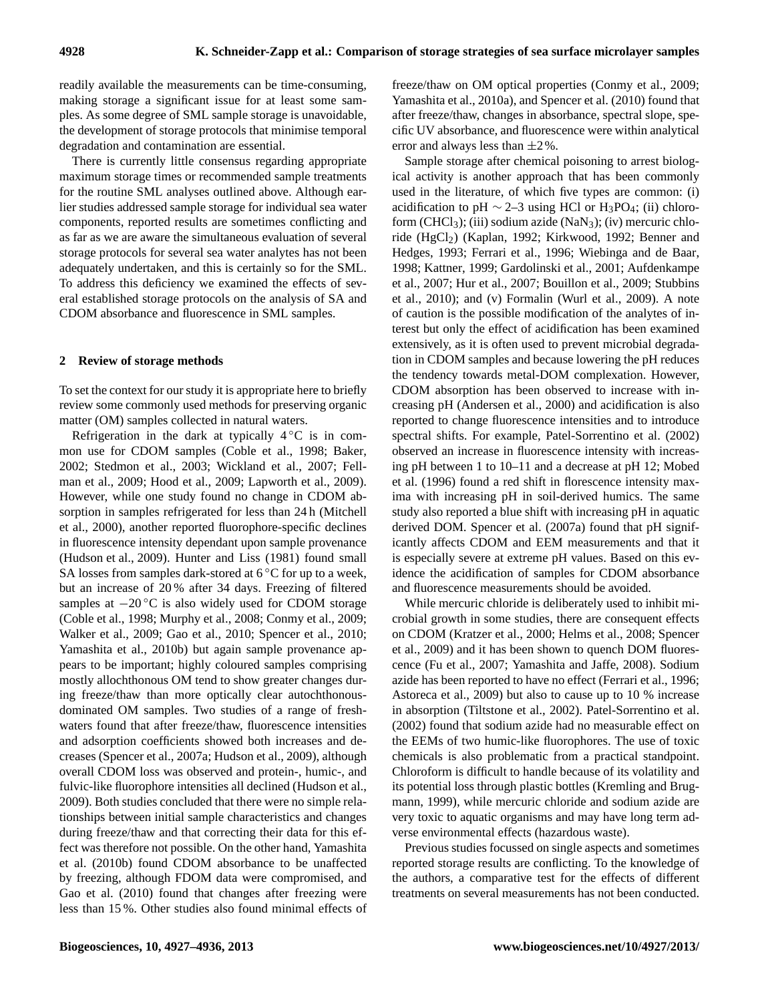<span id="page-2-0"></span>readily available the measurements can be time-consuming, making storage a significant issue for at least some samples. As some degree of SML sample storage is unavoidable, the development of storage protocols that minimise temporal degradation and contamination are essential.

There is currently little consensus regarding appropriate maximum storage times or recommended sample treatments for the routine SML analyses outlined above. Although earlier studies addressed sample storage for individual sea water components, reported results are sometimes conflicting and as far as we are aware the simultaneous evaluation of several storage protocols for several sea water analytes has not been adequately undertaken, and this is certainly so for the SML. To address this deficiency we examined the effects of several established storage protocols on the analysis of SA and CDOM absorbance and fluorescence in SML samples.

#### **2 Review of storage methods**

To set the context for our study it is appropriate here to briefly review some commonly used methods for preserving organic matter (OM) samples collected in natural waters.

Refrigeration in the dark at typically  $4\degree$ C is in common use for CDOM samples [\(Coble et al., 1998;](#page-7-0) [Baker,](#page-7-1) [2002;](#page-7-1) [Stedmon et al., 2003;](#page-9-4) [Wickland et al., 2007;](#page-9-5) [Fell](#page-8-10)[man et al., 2009;](#page-8-10) [Hood et al., 2009;](#page-8-11) [Lapworth et al., 2009\)](#page-8-12). However, while one study found no change in CDOM absorption in samples refrigerated for less than 24 h [\(Mitchell](#page-9-6) [et al., 2000\)](#page-9-6), another reported fluorophore-specific declines in fluorescence intensity dependant upon sample provenance [\(Hudson et al., 2009\)](#page-8-13). [Hunter and Liss \(1981\)](#page-8-14) found small SA losses from samples dark-stored at  $6^{\circ}$ C for up to a week, but an increase of 20 % after 34 days. Freezing of filtered samples at  $-20\degree C$  is also widely used for CDOM storage [\(Coble et al., 1998;](#page-7-0) [Murphy et al., 2008;](#page-9-7) [Conmy et al., 2009;](#page-7-2) [Walker et al., 2009;](#page-9-8) [Gao et al., 2010;](#page-8-15) [Spencer et al., 2010;](#page-9-9) [Yamashita et al., 2010b\)](#page-9-10) but again sample provenance appears to be important; highly coloured samples comprising mostly allochthonous OM tend to show greater changes during freeze/thaw than more optically clear autochthonousdominated OM samples. Two studies of a range of freshwaters found that after freeze/thaw, fluorescence intensities and adsorption coefficients showed both increases and decreases [\(Spencer et al., 2007a;](#page-9-11) [Hudson et al., 2009\)](#page-8-13), although overall CDOM loss was observed and protein-, humic-, and fulvic-like fluorophore intensities all declined [\(Hudson et al.,](#page-8-13) [2009\)](#page-8-13). Both studies concluded that there were no simple relationships between initial sample characteristics and changes during freeze/thaw and that correcting their data for this effect was therefore not possible. On the other hand, [Yamashita](#page-9-10) [et al.](#page-9-10) [\(2010b\)](#page-9-10) found CDOM absorbance to be unaffected by freezing, although FDOM data were compromised, and [Gao et al.](#page-8-15) [\(2010\)](#page-8-15) found that changes after freezing were less than 15 %. Other studies also found minimal effects of freeze/thaw on OM optical properties [\(Conmy et al., 2009;](#page-7-2) [Yamashita et al., 2010a\)](#page-9-12), and [Spencer et al. \(2010\)](#page-9-9) found that after freeze/thaw, changes in absorbance, spectral slope, specific UV absorbance, and fluorescence were within analytical error and always less than  $\pm 2\%$ .

Sample storage after chemical poisoning to arrest biological activity is another approach that has been commonly used in the literature, of which five types are common: (i) acidification to pH  $\sim$  2–3 using HCl or H<sub>3</sub>PO<sub>4</sub>; (ii) chloroform  $(CHCl<sub>3</sub>)$ ; (iii) sodium azide (NaN<sub>3</sub>); (iv) mercuric chlo-ride (HgCl<sub>2</sub>) [\(Kaplan, 1992;](#page-8-16) [Kirkwood, 1992;](#page-8-17) [Benner and](#page-7-3) [Hedges, 1993;](#page-7-3) [Ferrari et al., 1996;](#page-8-18) [Wiebinga and de Baar,](#page-9-13) [1998;](#page-9-13) [Kattner, 1999;](#page-8-19) [Gardolinski et al., 2001;](#page-8-20) [Aufdenkampe](#page-7-4) [et al., 2007;](#page-7-4) [Hur et al., 2007;](#page-8-21) [Bouillon et al., 2009;](#page-7-5) [Stubbins](#page-9-14) [et al., 2010\)](#page-9-14); and (v) Formalin [\(Wurl et al., 2009\)](#page-9-15). A note of caution is the possible modification of the analytes of interest but only the effect of acidification has been examined extensively, as it is often used to prevent microbial degradation in CDOM samples and because lowering the pH reduces the tendency towards metal-DOM complexation. However, CDOM absorption has been observed to increase with increasing pH [\(Andersen et al., 2000\)](#page-7-6) and acidification is also reported to change fluorescence intensities and to introduce spectral shifts. For example, [Patel-Sorrentino et al. \(2002\)](#page-9-16) observed an increase in fluorescence intensity with increasing pH between 1 to 10–11 and a decrease at pH 12; [Mobed](#page-9-17) [et al. \(1996\)](#page-9-17) found a red shift in florescence intensity maxima with increasing pH in soil-derived humics. The same study also reported a blue shift with increasing pH in aquatic derived DOM. [Spencer et al. \(2007a\)](#page-9-11) found that pH significantly affects CDOM and EEM measurements and that it is especially severe at extreme pH values. Based on this evidence the acidification of samples for CDOM absorbance and fluorescence measurements should be avoided.

While mercuric chloride is deliberately used to inhibit microbial growth in some studies, there are consequent effects on CDOM [\(Kratzer et al., 2000;](#page-8-22) [Helms et al., 2008;](#page-8-6) [Spencer](#page-9-18) [et al., 2009\)](#page-9-18) and it has been shown to quench DOM fluorescence [\(Fu et al., 2007;](#page-8-23) [Yamashita and Jaffe, 2008\)](#page-9-19). Sodium azide has been reported to have no effect [\(Ferrari et al., 1996;](#page-8-18) [Astoreca et al., 2009\)](#page-7-7) but also to cause up to 10 % increase in absorption [\(Tiltstone et al., 2002\)](#page-9-20). [Patel-Sorrentino et al.](#page-9-16) [\(2002\)](#page-9-16) found that sodium azide had no measurable effect on the EEMs of two humic-like fluorophores. The use of toxic chemicals is also problematic from a practical standpoint. Chloroform is difficult to handle because of its volatility and its potential loss through plastic bottles [\(Kremling and Brug](#page-8-24)[mann, 1999\)](#page-8-24), while mercuric chloride and sodium azide are very toxic to aquatic organisms and may have long term adverse environmental effects (hazardous waste).

Previous studies focussed on single aspects and sometimes reported storage results are conflicting. To the knowledge of the authors, a comparative test for the effects of different treatments on several measurements has not been conducted.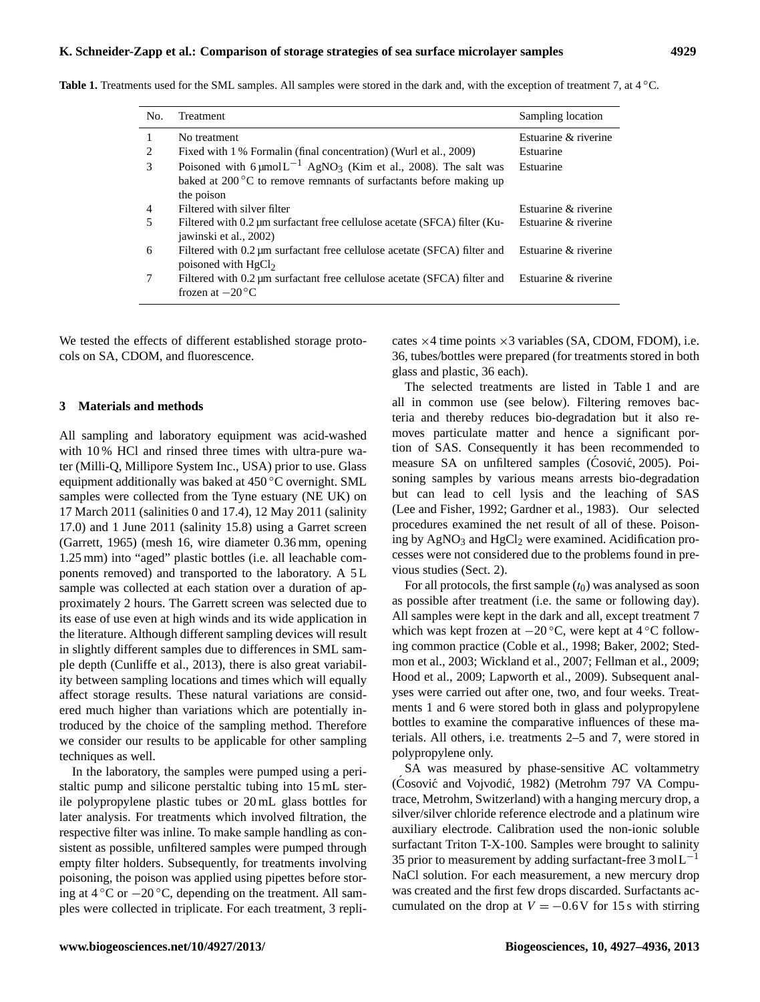| No. | Treatment                                                                                             | Sampling location    |
|-----|-------------------------------------------------------------------------------------------------------|----------------------|
|     | No treatment                                                                                          | Estuarine & riverine |
| 2   | Fixed with 1 % Formalin (final concentration) (Wurl et al., 2009)                                     | Estuarine            |
| 3   | Poisoned with $6 \mu$ mol $L^{-1}$ AgNO <sub>3</sub> (Kim et al., 2008). The salt was                 | Estuarine            |
|     | baked at $200\,^{\circ}\text{C}$ to remove remnants of surfactants before making up<br>the poison     |                      |
| 4   | Filtered with silver filter                                                                           | Estuarine & riverine |
| 5   | Filtered with 0.2 µm surfactant free cellulose acetate (SFCA) filter (Ku-<br>jawinski et al., 2002)   | Estuarine & riverine |
| 6   | Filtered with 0.2 um surfactant free cellulose acetate (SFCA) filter and<br>poisoned with $HgCl2$     | Estuarine & riverine |
| 7   | Filtered with 0.2 um surfactant free cellulose acetate (SFCA) filter and<br>frozen at $-20^{\circ}$ C | Estuarine & riverine |
|     |                                                                                                       |                      |

<span id="page-3-0"></span>**Table 1.** Treatments used for the SML samples. All samples were stored in the dark and, with the exception of treatment 7, at 4 ◦C.

We tested the effects of different established storage protocols on SA, CDOM, and fluorescence.

#### **3 Materials and methods**

All sampling and laboratory equipment was acid-washed with 10 % HCl and rinsed three times with ultra-pure water (Milli-Q, Millipore System Inc., USA) prior to use. Glass equipment additionally was baked at 450 ◦C overnight. SML samples were collected from the Tyne estuary (NE UK) on 17 March 2011 (salinities 0 and 17.4), 12 May 2011 (salinity 17.0) and 1 June 2011 (salinity 15.8) using a Garret screen [\(Garrett, 1965\)](#page-8-4) (mesh 16, wire diameter 0.36 mm, opening 1.25 mm) into "aged" plastic bottles (i.e. all leachable components removed) and transported to the laboratory. A 5 L sample was collected at each station over a duration of approximately 2 hours. The Garrett screen was selected due to its ease of use even at high winds and its wide application in the literature. Although different sampling devices will result in slightly different samples due to differences in SML sample depth [\(Cunliffe et al., 2013\)](#page-8-3), there is also great variability between sampling locations and times which will equally affect storage results. These natural variations are considered much higher than variations which are potentially introduced by the choice of the sampling method. Therefore we consider our results to be applicable for other sampling techniques as well.

<span id="page-3-1"></span>In the laboratory, the samples were pumped using a peristaltic pump and silicone perstaltic tubing into 15 mL sterile polypropylene plastic tubes or 20 mL glass bottles for later analysis. For treatments which involved filtration, the respective filter was inline. To make sample handling as consistent as possible, unfiltered samples were pumped through empty filter holders. Subsequently, for treatments involving poisoning, the poison was applied using pipettes before storing at  $4^{\circ}$ C or  $-20^{\circ}$ C, depending on the treatment. All samples were collected in triplicate. For each treatment, 3 replicates  $\times$ 4 time points  $\times$ 3 variables (SA, CDOM, FDOM), i.e. 36, tubes/bottles were prepared (for treatments stored in both glass and plastic, 36 each).

The selected treatments are listed in Table [1](#page-2-0) and are all in common use (see below). Filtering removes bacteria and thereby reduces bio-degradation but it also removes particulate matter and hence a significant portion of SAS. Consequently it has been recommended to measure SA on unfiltered samples [\(Cosovi](#page-8-0)ć, [2005\)](#page-8-0). Poisoning samples by various means arrests bio-degradation but can lead to cell lysis and the leaching of SAS [\(Lee and Fisher, 1992;](#page-8-27) [Gardner et al., 1983\)](#page-8-28). Our selected procedures examined the net result of all of these. Poisoning by  $AgNO<sub>3</sub>$  and  $HgCl<sub>2</sub>$  were examined. Acidification processes were not considered due to the problems found in previous studies (Sect. [2\)](#page-1-0).

For all protocols, the first sample  $(t_0)$  was analysed as soon as possible after treatment (i.e. the same or following day). All samples were kept in the dark and all, except treatment 7 which was kept frozen at  $-20$  °C, were kept at 4 °C following common practice [\(Coble et al., 1998;](#page-7-0) [Baker, 2002;](#page-7-1) [Sted](#page-9-4)[mon et al., 2003;](#page-9-4) [Wickland et al., 2007;](#page-9-5) [Fellman et al., 2009;](#page-8-10) [Hood et al., 2009;](#page-8-11) [Lapworth et al., 2009\)](#page-8-12). Subsequent analyses were carried out after one, two, and four weeks. Treatments 1 and 6 were stored both in glass and polypropylene bottles to examine the comparative influences of these materials. All others, i.e. treatments 2–5 and 7, were stored in polypropylene only.

SA was measured by phase-sensitive AC voltammetry (Cosović and Vojvodić, [1982\)](#page-8-9) (Metrohm 797 VA Computrace, Metrohm, Switzerland) with a hanging mercury drop, a silver/silver chloride reference electrode and a platinum wire auxiliary electrode. Calibration used the non-ionic soluble surfactant Triton T-X-100. Samples were brought to salinity 35 prior to measurement by adding surfactant-free  $3 \text{ mol} L^{-1}$ NaCl solution. For each measurement, a new mercury drop was created and the first few drops discarded. Surfactants accumulated on the drop at  $V = -0.6V$  for 15 s with stirring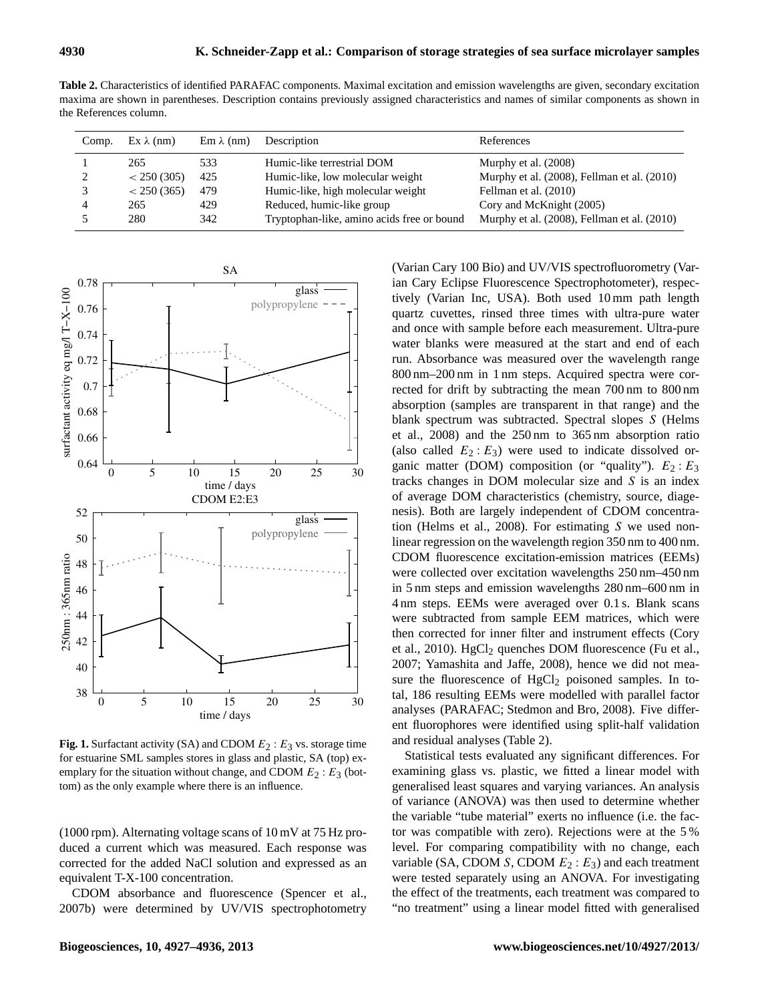**Table 2.** Characteristics of identified PARAFAC components. Maximal excitation and emission wavelengths are given, secondary excitation maxima are shown in parentheses. Description contains previously assigned characteristics and names of similar components as shown in the References column.

| Comp. | $Ex \lambda$ (nm) | $Em \lambda$ (nm) | Description                                | References                                  |
|-------|-------------------|-------------------|--------------------------------------------|---------------------------------------------|
|       | 265               | 533               | Humic-like terrestrial DOM                 | Murphy et al. (2008)                        |
|       | < 250(305)        | 425               | Humic-like, low molecular weight           | Murphy et al. (2008), Fellman et al. (2010) |
|       | < 250(365)        | 479               | Humic-like, high molecular weight          | Fellman et al. (2010)                       |
|       | 265               | 429               | Reduced, humic-like group                  | Cory and McKnight (2005)                    |
|       | 280               | 342               | Tryptophan-like, amino acids free or bound | Murphy et al. (2008), Fellman et al. (2010) |

<span id="page-4-0"></span>

**Fig. 1.** Surfactant activity (SA) and CDOM  $E_2$  :  $E_3$  vs. storage time for estuarine SML samples stores in glass and plastic, SA (top) exemplary for the situation without change, and CDOM  $E_2$ :  $E_3$  (bottom) as the only example where there is an influence.

(1000 rpm). Alternating voltage scans of 10 mV at 75 Hz produced a current which was measured. Each response was corrected for the added NaCl solution and expressed as an equivalent T-X-100 concentration.

CDOM absorbance and fluorescence [\(Spencer et al.,](#page-9-21) [2007b\)](#page-9-21) were determined by UV/VIS spectrophotometry (Varian Cary 100 Bio) and UV/VIS spectrofluorometry (Varian Cary Eclipse Fluorescence Spectrophotometer), respectively (Varian Inc, USA). Both used 10 mm path length quartz cuvettes, rinsed three times with ultra-pure water and once with sample before each measurement. Ultra-pure water blanks were measured at the start and end of each run. Absorbance was measured over the wavelength range 800 nm–200 nm in 1 nm steps. Acquired spectra were corrected for drift by subtracting the mean 700 nm to 800 nm absorption (samples are transparent in that range) and the blank spectrum was subtracted. Spectral slopes S [\(Helms](#page-8-6) [et al., 2008\)](#page-8-6) and the 250 nm to 365 nm absorption ratio (also called  $E_2$ :  $E_3$ ) were used to indicate dissolved organic matter (DOM) composition (or "quality").  $E_2 : E_3$ tracks changes in DOM molecular size and S is an index of average DOM characteristics (chemistry, source, diagenesis). Both are largely independent of CDOM concentration [\(Helms et al., 2008\)](#page-8-6). For estimating S we used nonlinear regression on the wavelength region 350 nm to 400 nm. CDOM fluorescence excitation-emission matrices (EEMs) were collected over excitation wavelengths 250 nm–450 nm in 5 nm steps and emission wavelengths 280 nm–600 nm in 4 nm steps. EEMs were averaged over 0.1 s. Blank scans were subtracted from sample EEM matrices, which were then corrected for inner filter and instrument effects [\(Cory](#page-8-31) [et al., 2010\)](#page-8-31). HgCl<sub>2</sub> quenches DOM fluorescence [\(Fu et al.,](#page-8-23) [2007;](#page-8-23) [Yamashita and Jaffe, 2008\)](#page-9-19), hence we did not measure the fluorescence of  $HgCl<sub>2</sub>$  poisoned samples. In total, 186 resulting EEMs were modelled with parallel factor analyses (PARAFAC; [Stedmon and Bro, 2008\)](#page-9-22). Five different fluorophores were identified using split-half validation and residual analyses (Table [2\)](#page-3-0).

Statistical tests evaluated any significant differences. For examining glass vs. plastic, we fitted a linear model with generalised least squares and varying variances. An analysis of variance (ANOVA) was then used to determine whether the variable "tube material" exerts no influence (i.e. the factor was compatible with zero). Rejections were at the 5 % level. For comparing compatibility with no change, each variable (SA, CDOM S, CDOM  $E_2 : E_3$ ) and each treatment were tested separately using an ANOVA. For investigating the effect of the treatments, each treatment was compared to "no treatment" using a linear model fitted with generalised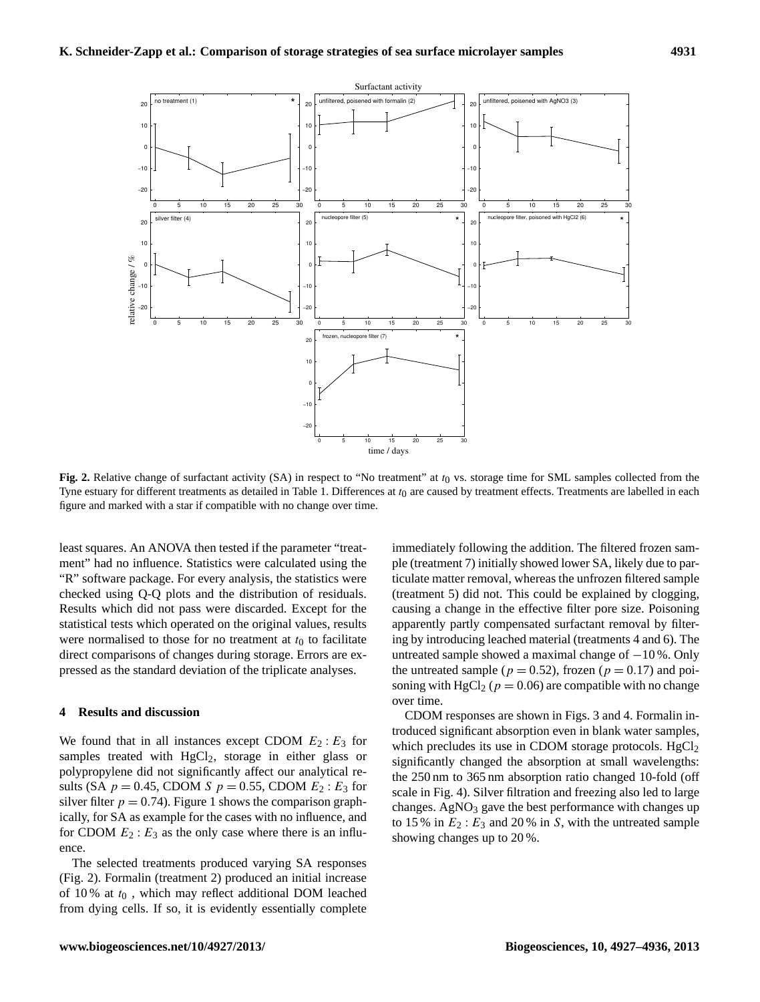

<span id="page-5-0"></span>Fig. 2. Relative change of surfactant activity (SA) in respect to "No treatment" at t<sub>0</sub> vs. storage time for SML samples collected from the Tyne estuary for different treatments as detailed in Table [1.](#page-2-0) Differences at  $t_0$  are caused by treatment effects. Treatments are labelled in each figure and marked with a star if compatible with no change over time.

least squares. An ANOVA then tested if the parameter "treatment" had no influence. Statistics were calculated using the "R" software package. For every analysis, the statistics were checked using Q-Q plots and the distribution of residuals. Results which did not pass were discarded. Except for the statistical tests which operated on the original values, results were normalised to those for no treatment at  $t_0$  to facilitate direct comparisons of changes during storage. Errors are expressed as the standard deviation of the triplicate analyses.

#### **4 Results and discussion**

We found that in all instances except CDOM  $E_2$ :  $E_3$  for samples treated with  $HgCl<sub>2</sub>$ , storage in either glass or polypropylene did not significantly affect our analytical results (SA  $p = 0.45$ , CDOM S  $p = 0.55$ , CDOM  $E_2 : E_3$  for silver filter  $p = 0.74$ ). Figure [1](#page-3-1) shows the comparison graphically, for SA as example for the cases with no influence, and for CDOM  $E_2$ :  $E_3$  as the only case where there is an influence.

<span id="page-5-1"></span>The selected treatments produced varying SA responses (Fig. [2\)](#page-4-0). Formalin (treatment 2) produced an initial increase of 10 % at  $t_0$ , which may reflect additional DOM leached from dying cells. If so, it is evidently essentially complete immediately following the addition. The filtered frozen sample (treatment 7) initially showed lower SA, likely due to particulate matter removal, whereas the unfrozen filtered sample (treatment 5) did not. This could be explained by clogging, causing a change in the effective filter pore size. Poisoning apparently partly compensated surfactant removal by filtering by introducing leached material (treatments 4 and 6). The untreated sample showed a maximal change of −10 %. Only the untreated sample ( $p = 0.52$ ), frozen ( $p = 0.17$ ) and poisoning with HgCl<sub>2</sub> ( $p = 0.06$ ) are compatible with no change over time.

CDOM responses are shown in Figs. [3](#page-5-0) and [4.](#page-5-1) Formalin introduced significant absorption even in blank water samples, which precludes its use in CDOM storage protocols.  $HgCl<sub>2</sub>$ significantly changed the absorption at small wavelengths: the 250 nm to 365 nm absorption ratio changed 10-fold (off scale in Fig. [4\)](#page-5-1). Silver filtration and freezing also led to large changes. Ag $NO<sub>3</sub>$  gave the best performance with changes up to 15 % in  $E_2$ :  $E_3$  and 20 % in S, with the untreated sample showing changes up to 20 %.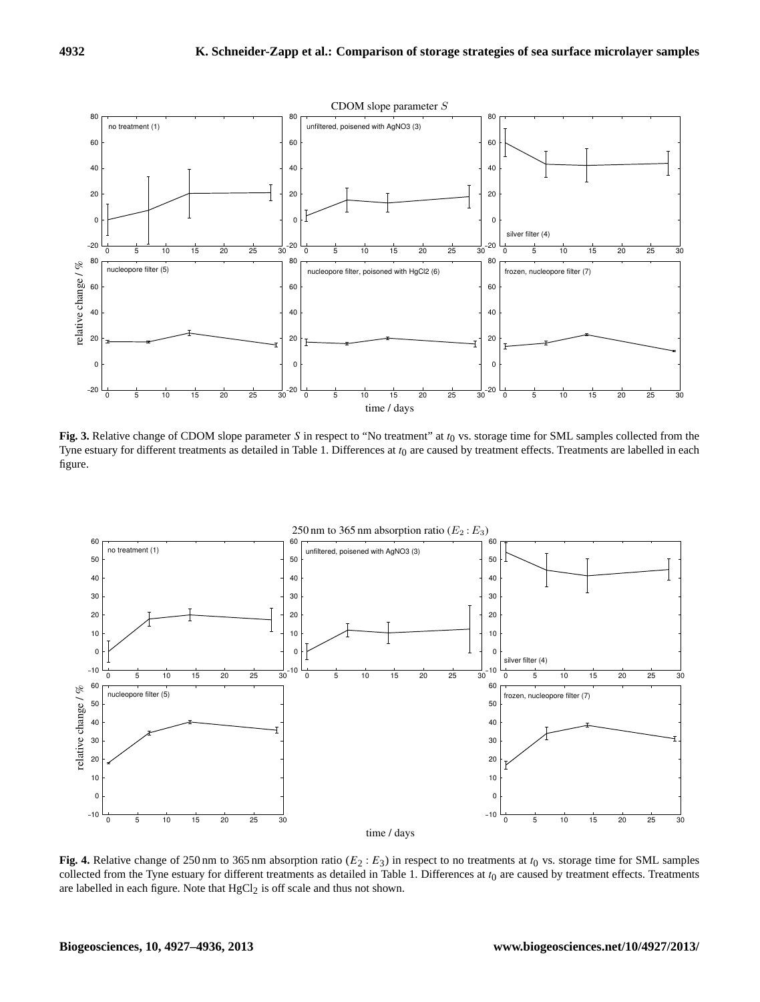

**Fig. 3.** Relative change of CDOM slope parameter S in respect to "No treatment" at  $t_0$  vs. storage time for SML samples collected from the Tyne estuary for different treatments as detailed in Table [1.](#page-2-0) Differences at  $t_0$  are caused by treatment effects. Treatments are labelled in each figure.

<span id="page-6-2"></span><span id="page-6-1"></span><span id="page-6-0"></span>

**Fig. 4.** Relative change of 250 nm to 365 nm absorption ratio ( $E_2$ :  $E_3$ ) in respect to no treatments at  $t_0$  vs. storage time for SML samples collected from the Tyne estuary for different treatments as detailed in Table [1.](#page-2-0) Differences at  $t_0$  are caused by treatment effects. Treatments are labelled in each figure. Note that  $HgCl<sub>2</sub>$  is off scale and thus not shown.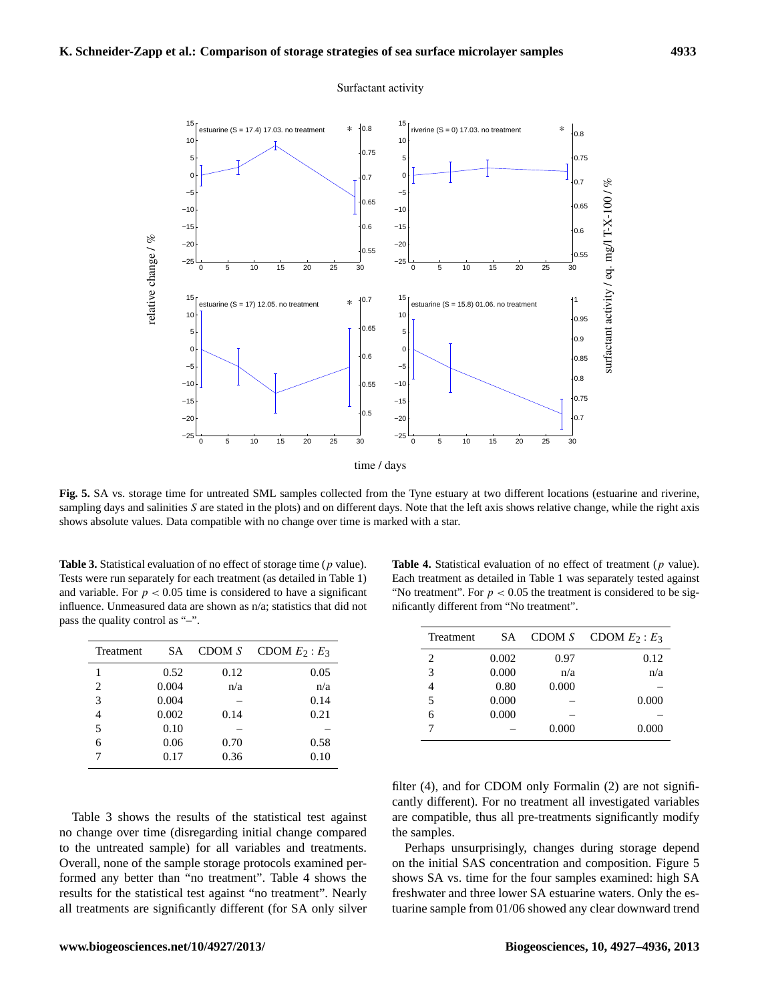

Surfactant activity

<span id="page-7-8"></span>**Fig. 5.** SA vs. storage time for untreated SML samples collected from the Tyne estuary at two different locations (estuarine and riverine, sampling days and salinities S are stated in the plots) and on different days. Note that the left axis shows relative change, while the right axis shows absolute values. Data compatible with no change over time is marked with a star.

**Table 3.** Statistical evaluation of no effect of storage time (p value). Tests were run separately for each treatment (as detailed in Table [1\)](#page-2-0) and variable. For  $p < 0.05$  time is considered to have a significant influence. Unmeasured data are shown as n/a; statistics that did not pass the quality control as "–".

| Treatment | SА    | CDOM S | CDOM $E_2$ : $E_3$ |
|-----------|-------|--------|--------------------|
|           | 0.52  | 0.12   | 0.05               |
| 2         | 0.004 | n/a    | n/a                |
| 3         | 0.004 |        | 0.14               |
| 4         | 0.002 | 0.14   | 0.21               |
| 5         | 0.10  |        |                    |
| 6         | 0.06  | 0.70   | 0.58               |
|           | 0.17  | 0.36   | 0.10               |

Table [3](#page-6-0) shows the results of the statistical test against no change over time (disregarding initial change compared to the untreated sample) for all variables and treatments. Overall, none of the sample storage protocols examined performed any better than "no treatment". Table [4](#page-6-1) shows the results for the statistical test against "no treatment". Nearly all treatments are significantly different (for SA only silver

<span id="page-7-7"></span><span id="page-7-6"></span><span id="page-7-4"></span>**Table 4.** Statistical evaluation of no effect of treatment (p value). Each treatment as detailed in Table [1](#page-2-0) was separately tested against "No treatment". For  $p < 0.05$  the treatment is considered to be significantly different from "No treatment".

<span id="page-7-1"></span>

| Treatment | <b>SA</b> | CDOM S | CDOM $E_2$ : $E_3$ |
|-----------|-----------|--------|--------------------|
| 2         | 0.002     | 0.97   | 0.12               |
| 3         | 0.000     | n/a    | n/a                |
| 4         | 0.80      | 0.000  |                    |
| 5         | 0.000     |        | 0.000              |
| 6         | 0.000     |        |                    |
|           |           | 0.000  | 0.000              |
|           |           |        |                    |

<span id="page-7-5"></span><span id="page-7-3"></span>filter (4), and for CDOM only Formalin (2) are not significantly different). For no treatment all investigated variables are compatible, thus all pre-treatments significantly modify the samples.

<span id="page-7-2"></span><span id="page-7-0"></span>Perhaps unsurprisingly, changes during storage depend on the initial SAS concentration and composition. Figure [5](#page-6-2) shows SA vs. time for the four samples examined: high SA freshwater and three lower SA estuarine waters. Only the estuarine sample from 01/06 showed any clear downward trend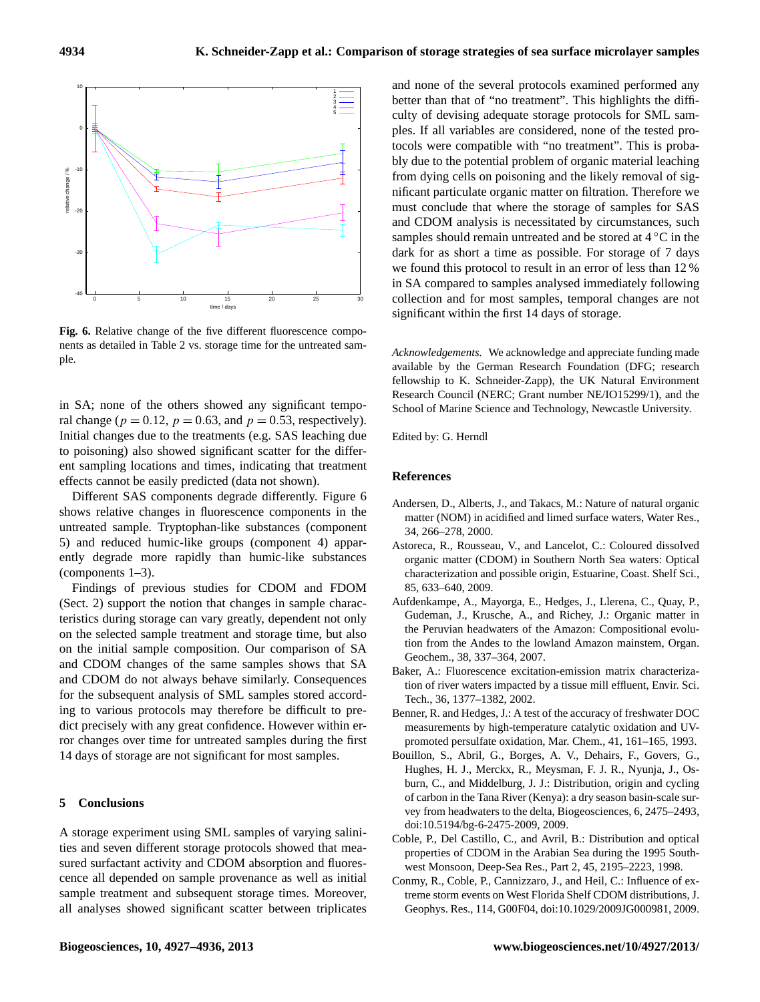<span id="page-8-31"></span><span id="page-8-30"></span><span id="page-8-0"></span>

<span id="page-8-9"></span><span id="page-8-3"></span><span id="page-8-1"></span>**Fig. 6.** Relative change of the five different fluorescence components as detailed in Table [2](#page-3-0) vs. storage time for the untreated sample.

<span id="page-8-10"></span>in SA; none of the others showed any significant temporal change ( $p = 0.12$ ,  $p = 0.63$ , and  $p = 0.53$ , respectively). Initial changes due to the treatments (e.g. SAS leaching due to poisoning) also showed significant scatter for the different sampling locations and times, indicating that treatment effects cannot be easily predicted (data not shown).

<span id="page-8-29"></span><span id="page-8-18"></span>Different SAS components degrade differently. Figure [6](#page-7-8) shows relative changes in fluorescence components in the untreated sample. Tryptophan-like substances (component 5) and reduced humic-like groups (component 4) apparently degrade more rapidly than humic-like substances (components 1–3).

<span id="page-8-7"></span>Findings of previous studies for CDOM and FDOM (Sect. [2\)](#page-1-0) support the notion that changes in sample characteristics during storage can vary greatly, dependent not only on the selected sample treatment and storage time, but also on the initial sample composition. Our comparison of SA and CDOM changes of the same samples shows that SA and CDOM do not always behave similarly. Consequences for the subsequent analysis of SML samples stored according to various protocols may therefore be difficult to predict precisely with any great confidence. However within error changes over time for untreated samples during the first 14 days of storage are not significant for most samples.

#### <span id="page-8-28"></span><span id="page-8-23"></span><span id="page-8-15"></span>**5 Conclusions**

<span id="page-8-20"></span>A storage experiment using SML samples of varying salinities and seven different storage protocols showed that measured surfactant activity and CDOM absorption and fluorescence all depended on sample provenance as well as initial sample treatment and subsequent storage times. Moreover, all analyses showed significant scatter between triplicates <span id="page-8-6"></span><span id="page-8-5"></span><span id="page-8-4"></span><span id="page-8-2"></span>and none of the several protocols examined performed any better than that of "no treatment". This highlights the difficulty of devising adequate storage protocols for SML samples. If all variables are considered, none of the tested protocols were compatible with "no treatment". This is probably due to the potential problem of organic material leaching from dying cells on poisoning and the likely removal of significant particulate organic matter on filtration. Therefore we must conclude that where the storage of samples for SAS and CDOM analysis is necessitated by circumstances, such samples should remain untreated and be stored at  $4^{\circ}$ C in the dark for as short a time as possible. For storage of 7 days we found this protocol to result in an error of less than 12 % in SA compared to samples analysed immediately following collection and for most samples, temporal changes are not significant within the first 14 days of storage.

<span id="page-8-13"></span><span id="page-8-11"></span><span id="page-8-8"></span>*Acknowledgements.* We acknowledge and appreciate funding made available by the German Research Foundation (DFG; research fellowship to K. Schneider-Zapp), the UK Natural Environment Research Council (NERC; Grant number NE/IO15299/1), and the School of Marine Science and Technology, Newcastle University.

<span id="page-8-14"></span>Edited by: G. Herndl

#### <span id="page-8-21"></span>**References**

- Andersen, D., Alberts, J., and Takacs, M.: Nature of natural organic matter (NOM) in acidified and limed surface waters, Water Res., 34, 266–278, 2000.
- <span id="page-8-19"></span><span id="page-8-16"></span>Astoreca, R., Rousseau, V., and Lancelot, C.: Coloured dissolved organic matter (CDOM) in Southern North Sea waters: Optical characterization and possible origin, Estuarine, Coast. Shelf Sci., 85, 633–640, 2009.
- <span id="page-8-25"></span>Aufdenkampe, A., Mayorga, E., Hedges, J., Llerena, C., Quay, P., Gudeman, J., Krusche, A., and Richey, J.: Organic matter in the Peruvian headwaters of the Amazon: Compositional evolution from the Andes to the lowland Amazon mainstem, Organ. Geochem., 38, 337–364, 2007.
- <span id="page-8-22"></span><span id="page-8-17"></span>Baker, A.: Fluorescence excitation-emission matrix characterization of river waters impacted by a tissue mill effluent, Envir. Sci. Tech., 36, 1377–1382, 2002.
- <span id="page-8-24"></span>Benner, R. and Hedges, J.: A test of the accuracy of freshwater DOC measurements by high-temperature catalytic oxidation and UVpromoted persulfate oxidation, Mar. Chem., 41, 161–165, 1993.
- <span id="page-8-26"></span>Bouillon, S., Abril, G., Borges, A. V., Dehairs, F., Govers, G., Hughes, H. J., Merckx, R., Meysman, F. J. R., Nyunja, J., Osburn, C., and Middelburg, J. J.: Distribution, origin and cycling of carbon in the Tana River (Kenya): a dry season basin-scale survey from headwaters to the delta, Biogeosciences, 6, 2475–2493, doi[:10.5194/bg-6-2475-2009,](http://dx.doi.org/10.5194/bg-6-2475-2009) 2009.
- <span id="page-8-12"></span>Coble, P., Del Castillo, C., and Avril, B.: Distribution and optical properties of CDOM in the Arabian Sea during the 1995 Southwest Monsoon, Deep-Sea Res., Part 2, 45, 2195–2223, 1998.
- <span id="page-8-27"></span>Conmy, R., Coble, P., Cannizzaro, J., and Heil, C.: Influence of extreme storm events on West Florida Shelf CDOM distributions, J. Geophys. Res., 114, G00F04, doi[:10.1029/2009JG000981,](http://dx.doi.org/10.1029/2009JG000981) 2009.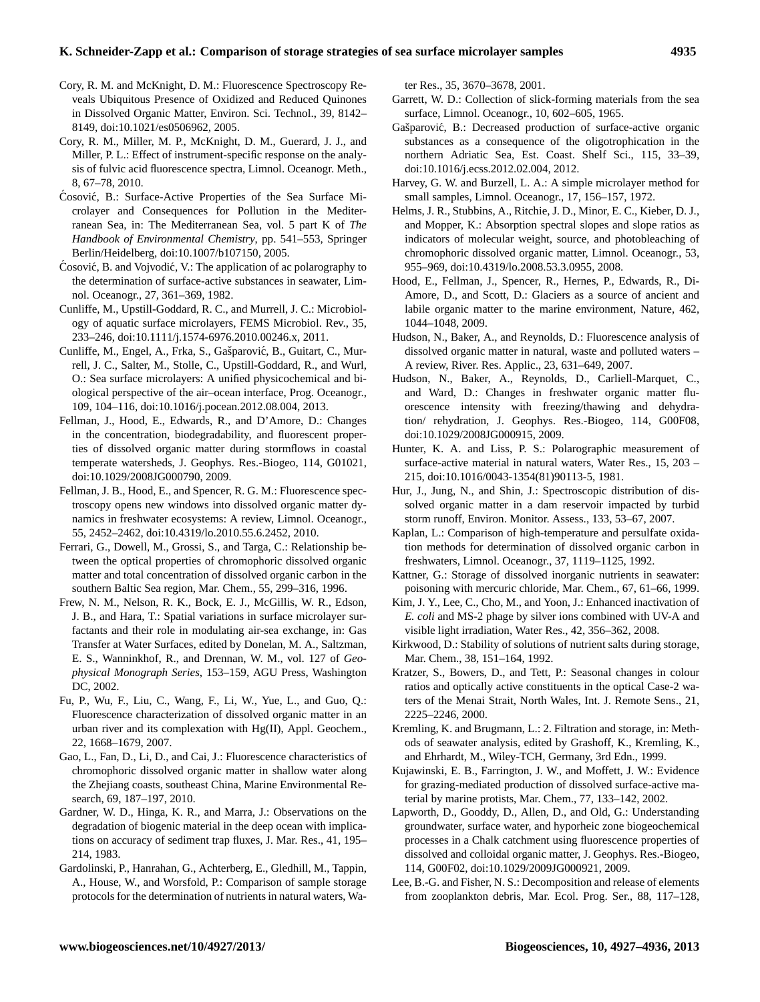### **K. Schneider-Zapp et al.: Comparison of storage strategies of sea surface microlayer samples 4935**

- <span id="page-9-6"></span>Cory, R. M. and McKnight, D. M.: Fluorescence Spectroscopy Reveals Ubiquitous Presence of Oxidized and Reduced Quinones in Dissolved Organic Matter, Environ. Sci. Technol., 39, 8142– 8149, doi[:10.1021/es0506962,](http://dx.doi.org/10.1021/es0506962) 2005.
- Cory, R. M., Miller, M. P., McKnight, D. M., Guerard, J. J., and Miller, P. L.: Effect of instrument-specific response on the analysis of fulvic acid fluorescence spectra, Limnol. Oceanogr. Meth., 8, 67–78, 2010.
- Cosović, B.: Surface-Active Properties of the Sea Surface Microlayer and Consequences for Pollution in the Mediterranean Sea, in: The Mediterranean Sea, vol. 5 part K of *The Handbook of Environmental Chemistry*, pp. 541–553, Springer Berlin/Heidelberg, doi[:10.1007/b107150,](http://dx.doi.org/10.1007/b107150) 2005.
- <span id="page-9-17"></span> $\acute{C}$ osović, B. and Vojvodić, V.: The application of ac polarography to the determination of surface-active substances in seawater, Limnol. Oceanogr., 27, 361–369, 1982.
- <span id="page-9-7"></span>Cunliffe, M., Upstill-Goddard, R. C., and Murrell, J. C.: Microbiology of aquatic surface microlayers, FEMS Microbiol. Rev., 35, 233–246, doi[:10.1111/j.1574-6976.2010.00246.x,](http://dx.doi.org/10.1111/j.1574-6976.2010.00246.x) 2011.
- <span id="page-9-16"></span>Cunliffe, M., Engel, A., Frka, S., Gašparović, B., Guitart, C., Murrell, J. C., Salter, M., Stolle, C., Upstill-Goddard, R., and Wurl, O.: Sea surface microlayers: A unified physicochemical and biological perspective of the air–ocean interface, Prog. Oceanogr., 109, 104–116, doi[:10.1016/j.pocean.2012.08.004,](http://dx.doi.org/10.1016/j.pocean.2012.08.004) 2013.
- <span id="page-9-2"></span>Fellman, J., Hood, E., Edwards, R., and D'Amore, D.: Changes in the concentration, biodegradability, and fluorescent properties of dissolved organic matter during stormflows in coastal temperate watersheds, J. Geophys. Res.-Biogeo, 114, G01021, doi[:10.1029/2008JG000790,](http://dx.doi.org/10.1029/2008JG000790) 2009.
- <span id="page-9-11"></span>Fellman, J. B., Hood, E., and Spencer, R. G. M.: Fluorescence spectroscopy opens new windows into dissolved organic matter dynamics in freshwater ecosystems: A review, Limnol. Oceanogr., 55, 2452–2462, doi[:10.4319/lo.2010.55.6.2452,](http://dx.doi.org/10.4319/lo.2010.55.6.2452) 2010.
- <span id="page-9-21"></span>Ferrari, G., Dowell, M., Grossi, S., and Targa, C.: Relationship between the optical properties of chromophoric dissolved organic matter and total concentration of dissolved organic carbon in the southern Baltic Sea region, Mar. Chem., 55, 299–316, 1996.
- <span id="page-9-18"></span>Frew, N. M., Nelson, R. K., Bock, E. J., McGillis, W. R., Edson, J. B., and Hara, T.: Spatial variations in surface microlayer surfactants and their role in modulating air-sea exchange, in: Gas Transfer at Water Surfaces, edited by Donelan, M. A., Saltzman, E. S., Wanninkhof, R., and Drennan, W. M., vol. 127 of *Geophysical Monograph Series*, 153–159, AGU Press, Washington DC, 2002.
- <span id="page-9-9"></span>Fu, P., Wu, F., Liu, C., Wang, F., Li, W., Yue, L., and Guo, Q.: Fluorescence characterization of dissolved organic matter in an urban river and its complexation with Hg(II), Appl. Geochem., 22, 1668–1679, 2007.
- <span id="page-9-22"></span>Gao, L., Fan, D., Li, D., and Cai, J.: Fluorescence characteristics of chromophoric dissolved organic matter in shallow water along the Zhejiang coasts, southeast China, Marine Environmental Research, 69, 187–197, 2010.
- <span id="page-9-4"></span>Gardner, W. D., Hinga, K. R., and Marra, J.: Observations on the degradation of biogenic material in the deep ocean with implications on accuracy of sediment trap fluxes, J. Mar. Res., 41, 195– 214, 1983.
- Gardolinski, P., Hanrahan, G., Achterberg, E., Gledhill, M., Tappin, A., House, W., and Worsfold, P.: Comparison of sample storage protocols for the determination of nutrients in natural waters, Wa-

ter Res., 35, 3670–3678, 2001.

- <span id="page-9-14"></span>Garrett, W. D.: Collection of slick-forming materials from the sea surface, Limnol. Oceanogr., 10, 602–605, 1965.
- Gašparović, B.: Decreased production of surface-active organic substances as a consequence of the oligotrophication in the northern Adriatic Sea, Est. Coast. Shelf Sci., 115, 33–39, doi[:10.1016/j.ecss.2012.02.004,](http://dx.doi.org/10.1016/j.ecss.2012.02.004) 2012.
- <span id="page-9-20"></span>Harvey, G. W. and Burzell, L. A.: A simple microlayer method for small samples, Limnol. Oceanogr., 17, 156–157, 1972.
- Helms, J. R., Stubbins, A., Ritchie, J. D., Minor, E. C., Kieber, D. J., and Mopper, K.: Absorption spectral slopes and slope ratios as indicators of molecular weight, source, and photobleaching of chromophoric dissolved organic matter, Limnol. Oceanogr., 53, 955–969, doi[:10.4319/lo.2008.53.3.0955,](http://dx.doi.org/10.4319/lo.2008.53.3.0955) 2008.
- <span id="page-9-8"></span><span id="page-9-0"></span>Hood, E., Fellman, J., Spencer, R., Hernes, P., Edwards, R., Di-Amore, D., and Scott, D.: Glaciers as a source of ancient and labile organic matter to the marine environment, Nature, 462, 1044–1048, 2009.
- Hudson, N., Baker, A., and Reynolds, D.: Fluorescence analysis of dissolved organic matter in natural, waste and polluted waters – A review, River. Res. Applic., 23, 631–649, 2007.
- <span id="page-9-5"></span>Hudson, N., Baker, A., Reynolds, D., Carliell-Marquet, C., and Ward, D.: Changes in freshwater organic matter fluorescence intensity with freezing/thawing and dehydration/ rehydration, J. Geophys. Res.-Biogeo, 114, G00F08, doi[:10.1029/2008JG000915,](http://dx.doi.org/10.1029/2008JG000915) 2009.
- <span id="page-9-15"></span><span id="page-9-13"></span>Hunter, K. A. and Liss, P. S.: Polarographic measurement of surface-active material in natural waters, Water Res., 15, 203 – 215, doi[:10.1016/0043-1354\(81\)90113-5,](http://dx.doi.org/10.1016/0043-1354(81)90113-5) 1981.
- <span id="page-9-1"></span>Hur, J., Jung, N., and Shin, J.: Spectroscopic distribution of dissolved organic matter in a dam reservoir impacted by turbid storm runoff, Environ. Monitor. Assess., 133, 53–67, 2007.
- <span id="page-9-19"></span>Kaplan, L.: Comparison of high-temperature and persulfate oxidation methods for determination of dissolved organic carbon in freshwaters, Limnol. Oceanogr., 37, 1119–1125, 1992.
- Kattner, G.: Storage of dissolved inorganic nutrients in seawater: poisoning with mercuric chloride, Mar. Chem., 67, 61–66, 1999.
- <span id="page-9-12"></span>Kim, J. Y., Lee, C., Cho, M., and Yoon, J.: Enhanced inactivation of *E. coli* and MS-2 phage by silver ions combined with UV-A and visible light irradiation, Water Res., 42, 356–362, 2008.
- <span id="page-9-10"></span>Kirkwood, D.: Stability of solutions of nutrient salts during storage, Mar. Chem., 38, 151–164, 1992.
- Kratzer, S., Bowers, D., and Tett, P.: Seasonal changes in colour ratios and optically active constituents in the optical Case-2 waters of the Menai Strait, North Wales, Int. J. Remote Sens., 21, 2225–2246, 2000.
- <span id="page-9-3"></span>Kremling, K. and Brugmann, L.: 2. Filtration and storage, in: Methods of seawater analysis, edited by Grashoff, K., Kremling, K., and Ehrhardt, M., Wiley-TCH, Germany, 3rd Edn., 1999.
- Kujawinski, E. B., Farrington, J. W., and Moffett, J. W.: Evidence for grazing-mediated production of dissolved surface-active material by marine protists, Mar. Chem., 77, 133–142, 2002.
- Lapworth, D., Gooddy, D., Allen, D., and Old, G.: Understanding groundwater, surface water, and hyporheic zone biogeochemical processes in a Chalk catchment using fluorescence properties of dissolved and colloidal organic matter, J. Geophys. Res.-Biogeo, 114, G00F02, doi[:10.1029/2009JG000921,](http://dx.doi.org/10.1029/2009JG000921) 2009.
- Lee, B.-G. and Fisher, N. S.: Decomposition and release of elements from zooplankton debris, Mar. Ecol. Prog. Ser., 88, 117–128,